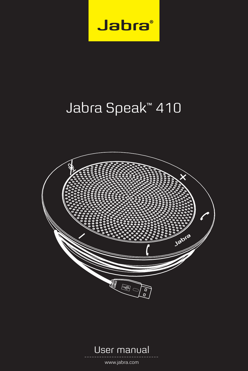

# Jabra Speak™ 410





www.jabra.com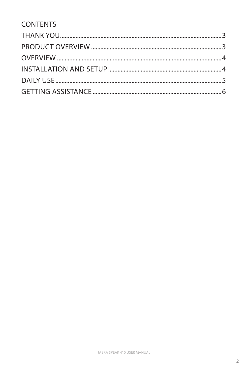### **CONTENTS**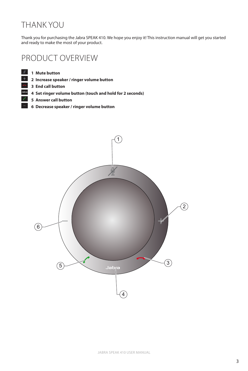# <span id="page-2-0"></span>THANK YOU

Thank you for purchasing the Jabra SPEAK 410. We hope you enjoy it! This instruction manual will get you started and ready to make the most of your product.

### PRODUCT OVERVIEW

**Mute button**

- **Increase speaker / ringer volume button**
- **End call button**
- **Set ringer volume button (touch and hold for 2 seconds)**
- **Answer call button**
	- **Decrease speaker / ringer volume button**

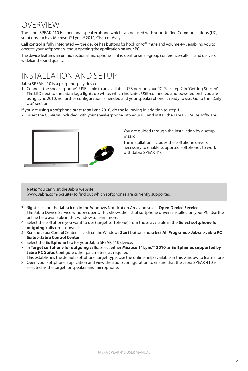# <span id="page-3-0"></span>OVERVIEW

The Jabra SPEAK 410 is a personal speakerphone which can be used with your Unified Communications (UC) solutions such as Microsoft® Lync™ 2010, Cisco or Avaya.

Call control is fully integrated — the device has buttons for hook on/off, mute and volume +/- , enabling you to operate your softphone without opening the application on your PC.

The device features an omnidirectional microphone — it is ideal for small-group conference-calls — and delivers wideband sound quality.

# INSTALLATION AND SETUP

Jabra SPEAK 410 is a plug-and-play device:

- 1. Connect the speakerphone's USB cable to an available USB port on your PC. See step 2 in "Getting Started". The LED next to the Jabra logo lights up white, which indicates USB-connected and powered on.If you are using Lync 2010, no further configuration is needed and your speakerphone is ready to use. Go to the "Daily Use" section.
- If you are using a softphone *other than* Lync 2010, do the following in addition to step 1:
- 2. Insert the CD-ROM included with your speakerphone into your PC and install the Jabra PC Suite software.



You are guided through the installation by a setup wizard.

The installation includes the softphone drivers necessary to enable supported softphones to work with Jabra SPEAK 410.

**Note:** You can visit the Jabra website (www.Jabra.com/pcsuite) to find out which softphones are currently supported.

- 3. Right-click on the Jabra icon in the Windows Notification Area and select **Open Device Service**. The Jabra Device Service window opens. This shows the list of softphone drivers installed on your PC. Use the online help available in this window to learn more.
- 4. Select the softphone you want to use (target softphone) from those available in the **Select softphone for outgoing calls** drop-down list.
- 5. Run the Jabra Control Center click on the Windows **Start** button and select **All Programs > Jabra > Jabra PC Suite > Jabra Control Center**.
- 6. Select the **Softphone** tab for your Jabra SPEAK 410 device.
- 7. In **Target softphone for outgoing calls**, select either **Microsoft® LyncTM 2010** or **Softphones supported by**  Jabra PC Suite. Configure other parameters, as required.

This establishes the default softphone target type. Use the online help available in this window to learn more.

8. Open your softphone application and view the audio configuration to ensure that the Jabra SPEAK 410 is selected as the target for speaker and microphone.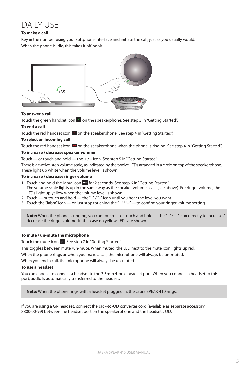# <span id="page-4-0"></span>**DAILY LISE**

#### **To make a call**

Key in the number using your softphone interface and initiate the call, just as you usually would. When the phone is idle, this takes it off-hook.



#### **To answer a call**

Touch the green handset icon  $\mathcal O$  on the speakerphone. See step 3 in "Getting Started".

#### **To end a call**

Touch the red handset icon  $\blacksquare$  on the speakerphone. See step 4 in "Getting Started".

#### **To reject an incoming call**

Touch the red handset icon **on** on the speakerphone when the phone is ringing. See step 4 in "Getting Started". **To increase / decrease speaker volume**

Touch — or touch and hold — the + / – icon. See step 5 in "Getting Started".

There is a twelve-step volume scale, as indicated by the twelve LEDs arranged in a circle on top of the speakerphone. These light up white when the volume level is shown.

#### **To increase / decrease ringer volume**

- 1. Touch and hold the Jabra icon **Japan** for 2 seconds. See step 6 in "Getting Started". The volume scale lights up in the same way as the speaker volume scale (see above). For ringer volume, the LEDs light up yellow when the volume level is shown.
- 2. Touch or touch and hold the "+" / "-" icon until you hear the level you want.
- 3. Touch the "Jabra" icon or just stop touching the " $+$ " /" $-$ " to confirm your ringer volume setting.

**Note:** When the phone is ringing, you can touch — or touch and hold — the "+" /"-" icon directly to increase / decrease the ringer volume. In this case no yellow LEDs are shown.

#### **To mute / un-mute the microphone**

Touch the mute icon  $\mathbb X$ . See step 7 in "Getting Started".

This toggles between mute /un-mute. When muted, the LED next to the mute icon lights up red.

When the phone rings or when you make a call, the microphone will always be un-muted.

When you end a call, the microphone will always be un-muted.

#### **To use a headset**

You can choose to connect a headset to the 3.5mm 4-pole headset port. When you connect a headset to this port, audio is automatically transferred to the headset.

**Note:** When the phone rings with a headset plugged in, the Jabra SPEAK 410 rings.

If you are using a GN headset, connect the Jack-to-QD converter cord (available as separate accessory 8800-00-99) between the headset port on the speakerphone and the headset's QD.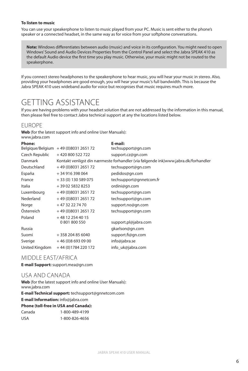#### <span id="page-5-0"></span>**To listen to music**

You can use your speakerphone to listen to music played from your PC. Music is sent either to the phone's speaker or a connected headset, in the same way as for voice from your softphone conversations.

**Note:** Windows differentiates between audio (music) and voice in its configuration. You might need to open Windows' Sound and Audio Devices Properties from the Control Panel and select the Jabra SPEAK 410 as the default Audio device the first time you play music. Otherwise, your music might not be routed to the speakerphone.

If you connect stereo headphones to the speakerphone to hear music, you will hear your music in stereo. Also, providing your headphones are good enough, you will hear your music's full bandwidth. This is because the Jabra SPEAK 410 uses wideband audio for voice but recognises that music requires much more.

# GETTING ASSISTANCE

If you are having problems with your headset solution that are not addressed by the information in this manual, then please feel free to contact Jabra technical support at any the locations listed below.

### EUROPE

**Web** (for the latest support info and online User Manuals): www.jabra.com

| <b>Phone:</b>    |                                   | E-mail:                                                                            |
|------------------|-----------------------------------|------------------------------------------------------------------------------------|
| Belgique/Belgium | +49 (0) 8031 2651 72              | techsupport@gn.com                                                                 |
| Czech Republic   | +420800522722                     | support.cz@gn.com                                                                  |
| Danmark          |                                   | Kontakt venligst din nærmeste forhandler (via følgende ink)www.jabra.dk/forhandler |
| Deutschland      | +49 (0) 8031 2651 72              | techsupport@gn.com                                                                 |
| España           | +34 916 398 064                   | pedidos@gn.com                                                                     |
| France           | + 33 (0) 130 589 075              | techsupport@gnnetcom.fr                                                            |
| Italia           | +39 02 5832 8253                  | ordini@gn.com                                                                      |
| Luxembourg       | +49 (0) 8031 2651 72              | techsupport@gn.com                                                                 |
| Nederland        | +49 (0) 8031 2651 72              | techsupport@gn.com                                                                 |
| Norge            | +47 32 22 74 70                   | support.no@gn.com                                                                  |
| Österreich       | +49 (0) 8031 2651 72              | techsupport@gn.com                                                                 |
| Poland           | +48 12 254 40 15<br>0 801 800 550 | support.pl@jabra.com                                                               |
| Russia           |                                   | gkarlson@gn.com                                                                    |
| Suomi            | +358204856040                     | support.fi@gn.com                                                                  |
| Sverige          | $+46(0)86930900$                  | info@jabra.se                                                                      |
| United Kingdom   | +44 (0) 1784 220 172              | info uk@jabra.com                                                                  |
|                  |                                   |                                                                                    |

#### MIDDLE EAST/AFRICA

**E-mail Support:** support.mea@gn.com

### USA AND CANADA

**Web** (for the latest support info and online User Manuals): www.jabra.com

**E-mail Technical support:** techsupport@gnnetcom.com

**E-mail Information:** info@jabra.com **Phone (toll-free in USA and Canada):**

| Phone (toil-free in USA and Canada) |                |
|-------------------------------------|----------------|
| Canada                              | 1-800-489-4199 |
| USA                                 | 1-800-826-4656 |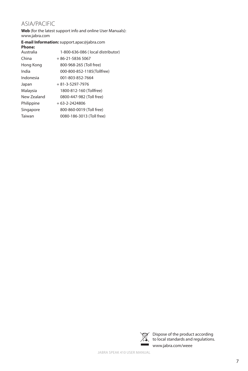### ASIA/PACIFIC

**Web** (for the latest support info and online User Manuals): www.jabra.com

### **E-mail Information:** support.apac@jabra.com

| <b>Phone:</b> |                                   |
|---------------|-----------------------------------|
| Australia     | 1-800-636-086 (local distributor) |
| China         | $+86-21-58365067$                 |
| Hong Kong     | 800-968-265 (Toll free)           |
| India         | 000-800-852-1185(Tollfree)        |
| Indonesia     | 001-803-852-7664                  |
| Japan         | $+81-3-5297-7976$                 |
| Malaysia      | 1800-812-160 (Tollfree)           |
| New Zealand   | 0800-447-982 (Toll free)          |
| Philippine    | $+63-2-2424806$                   |
| Singapore     | 800-860-0019 (Toll free)          |
| Taiwan        | 0080-186-3013 (Toll free)         |
|               |                                   |



Dispose of the product according to local standards and regulations. www.jabra.com/weee